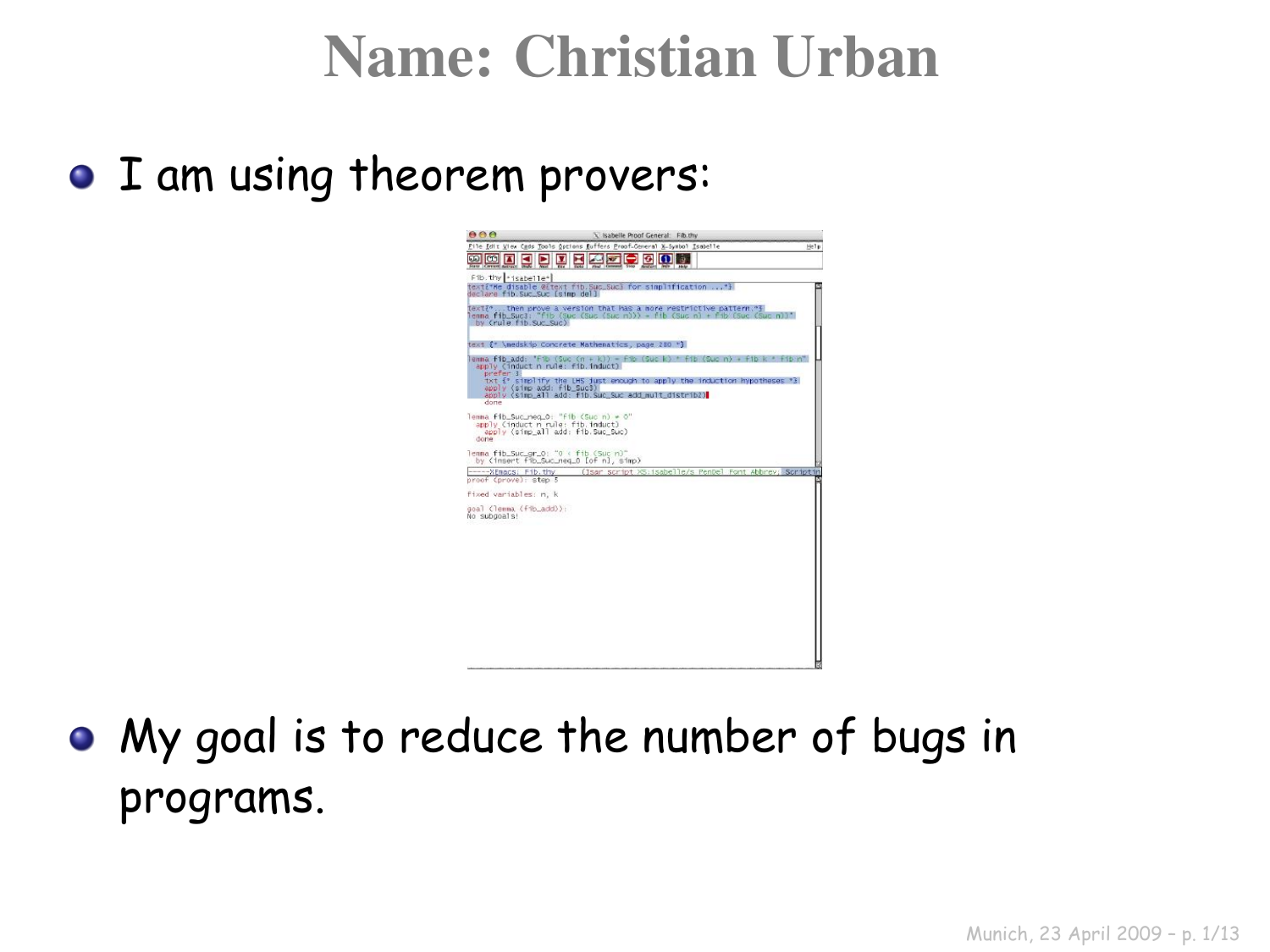#### Name: Christian Urban

**• I am using theorem provers:** 



• My goal is to reduce the number of bugs in programs.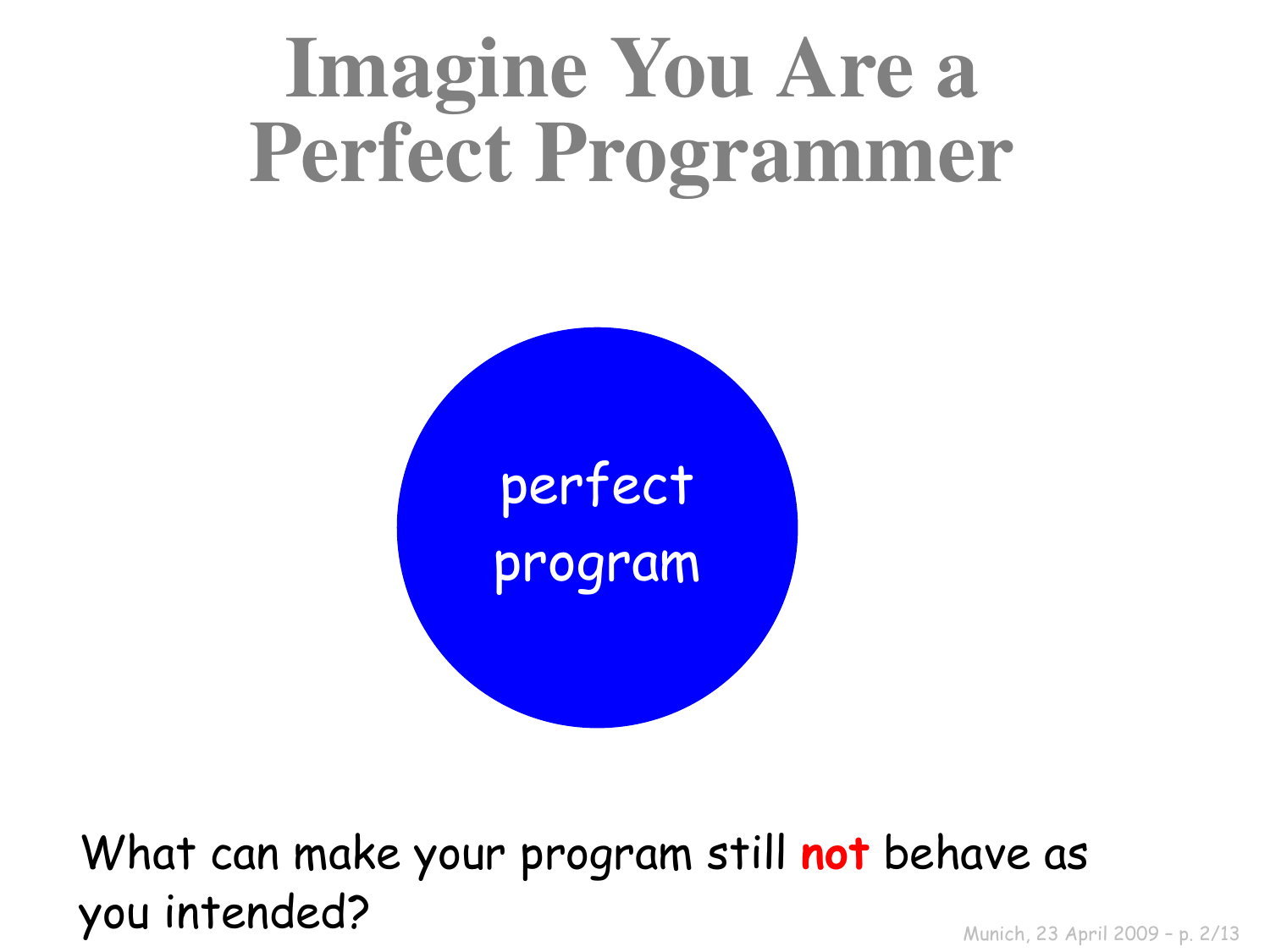# Imagine You Are a Perfect Programmer



What can make your program still **not** behave as you intended?

Munich, 23 April 2009 – p. 2/13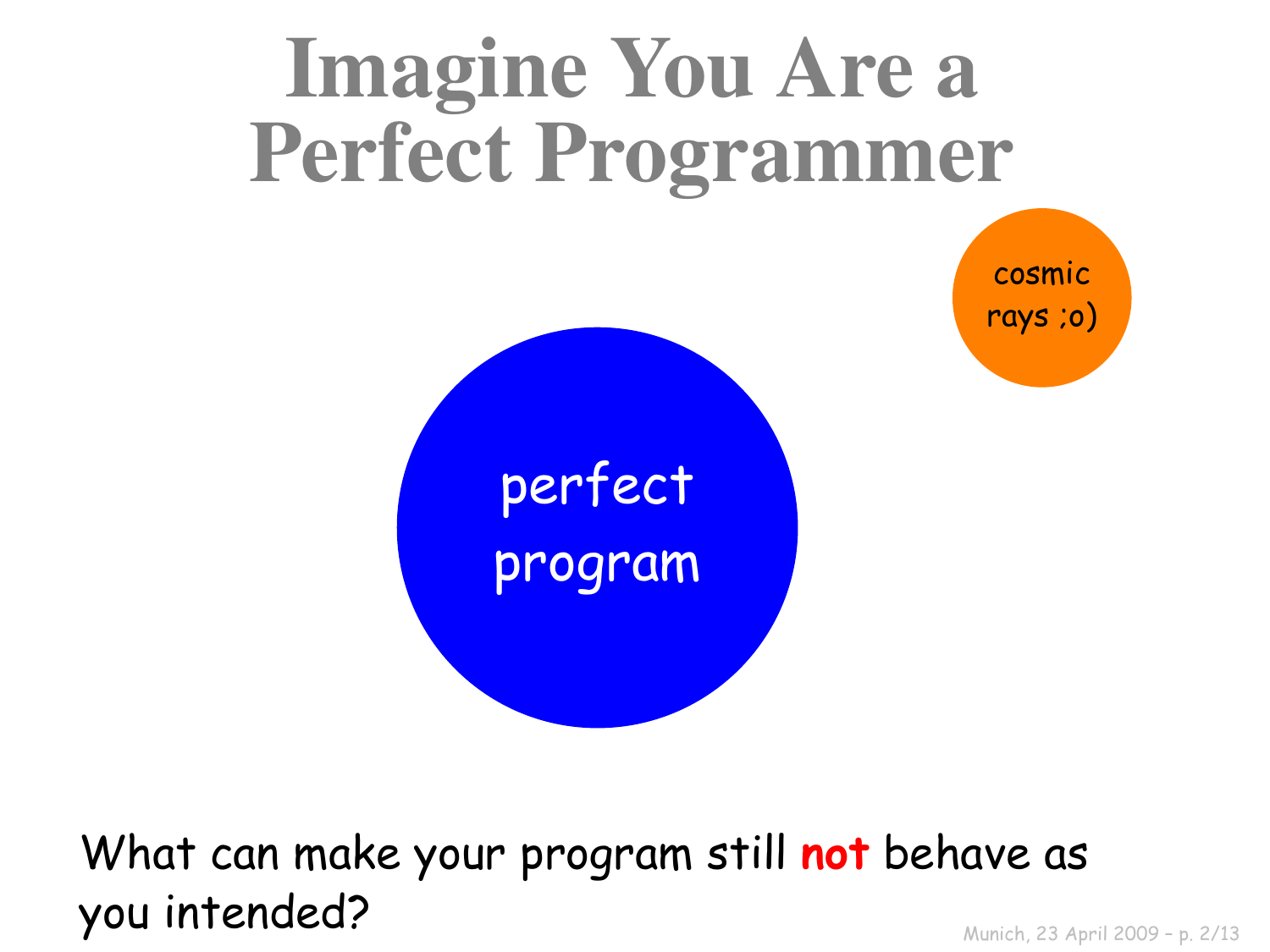

What can make your program still **not** behave as you intended?

Munich, 23 April 2009 – p. 2/13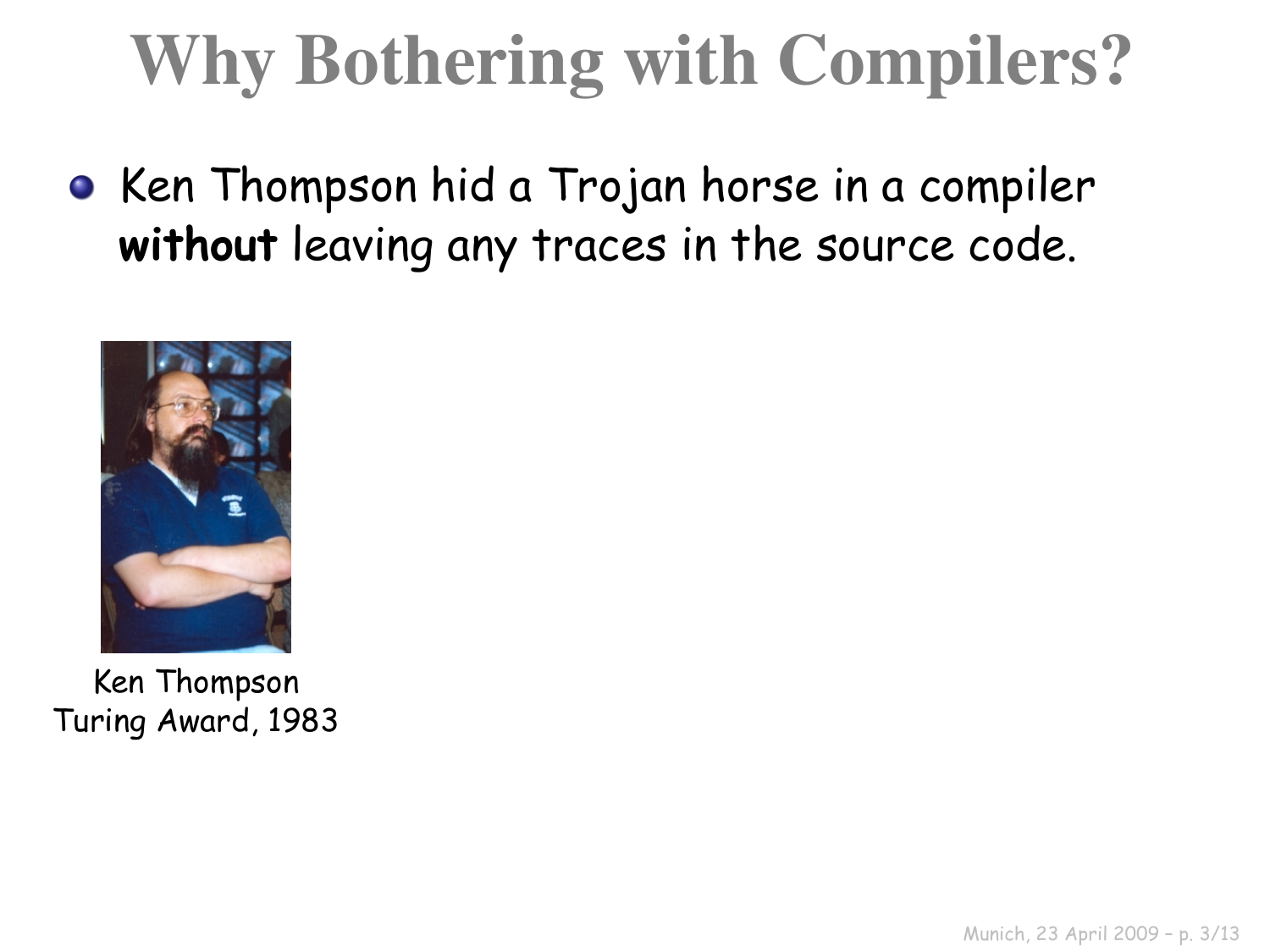## Why Bothering with Compilers?

• Ken Thompson hid a Trojan horse in a compiler **without** leaving any traces in the source code.



Ken Thompson Turing Award, 1983

Munich, 23 April 2009 – p. 3/13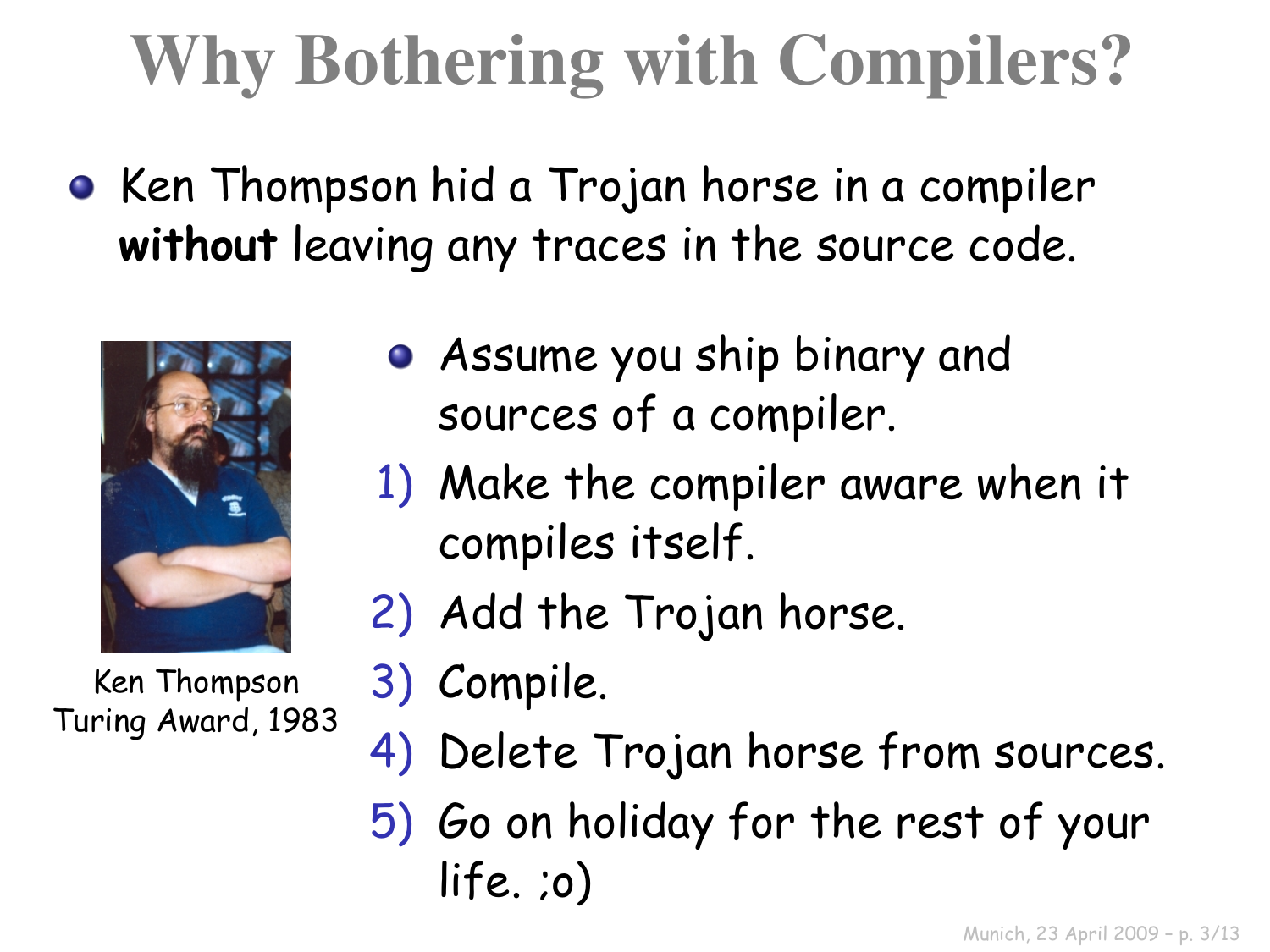## Why Bothering with Compilers?

• Ken Thompson hid a Trojan horse in a compiler **without** leaving any traces in the source code.



Ken Thompson Turing Award, 1983

- Assume you ship binary and sources of a compiler.
- 1) Make the compiler aware when it compiles itself.
- 2) Add the Trojan horse.
- 3) Compile.
- 4) Delete Trojan horse from sources.
- 5) Go on holiday for the rest of your life. ;o)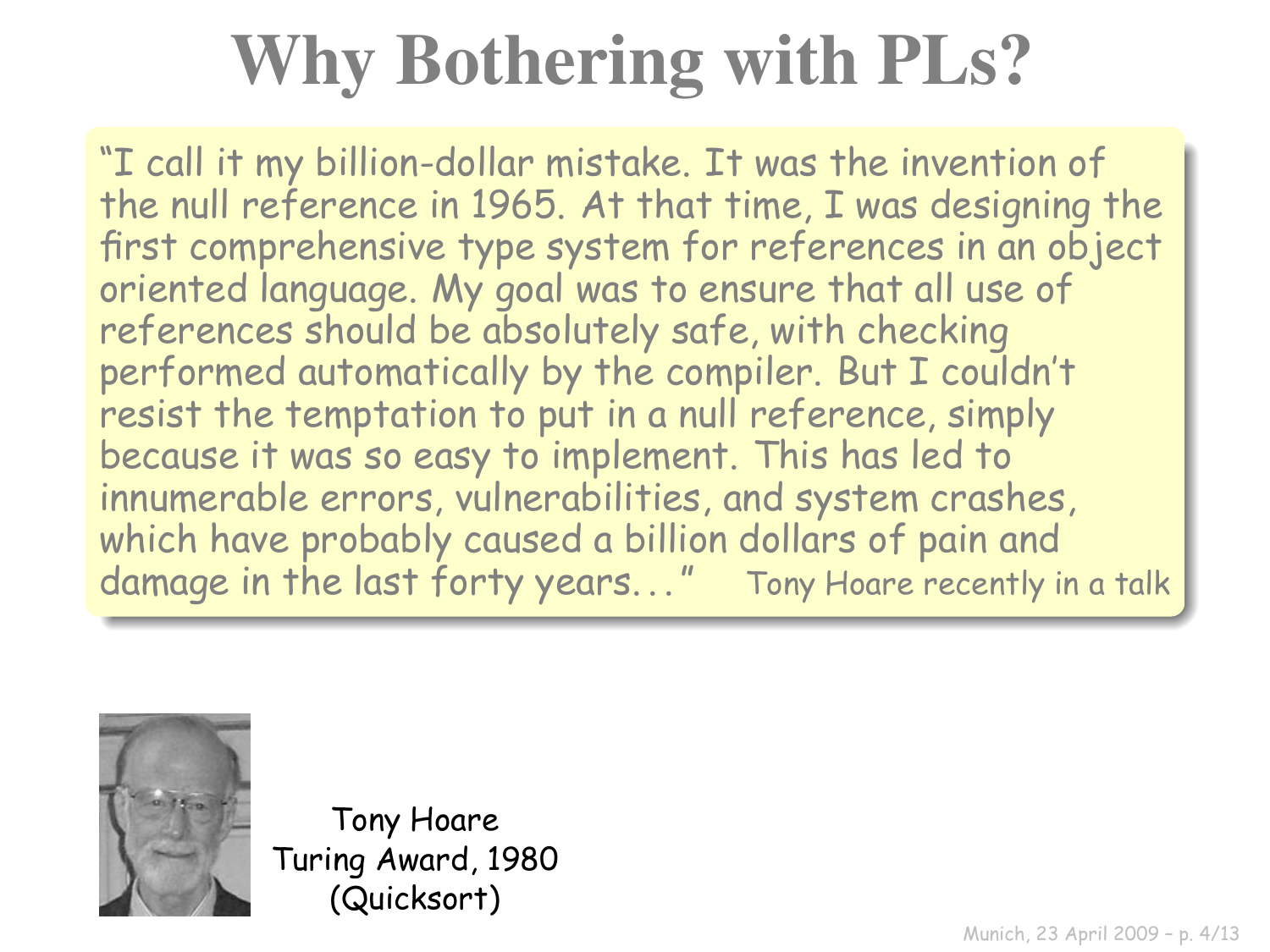# Why Bothering with PLs?

"I call it my billion-dollar mistake. It was the invention of the null reference in 1965. At that time, I was designing the first comprehensive type system for references in an object oriented language. My goal was to ensure that all use of references should be absolutely safe, with checking performed automatically by the compiler. But I couldn't resist the temptation to put in a null reference, simply because it was so easy to implement. This has led to innumerable errors, vulnerabilities, and system crashes, which have probably caused a billion dollars of pain and damage in the last forty years..." Tony Hoare recently in a talk



Tony Hoare Turing Award, 1980 (Quicksort)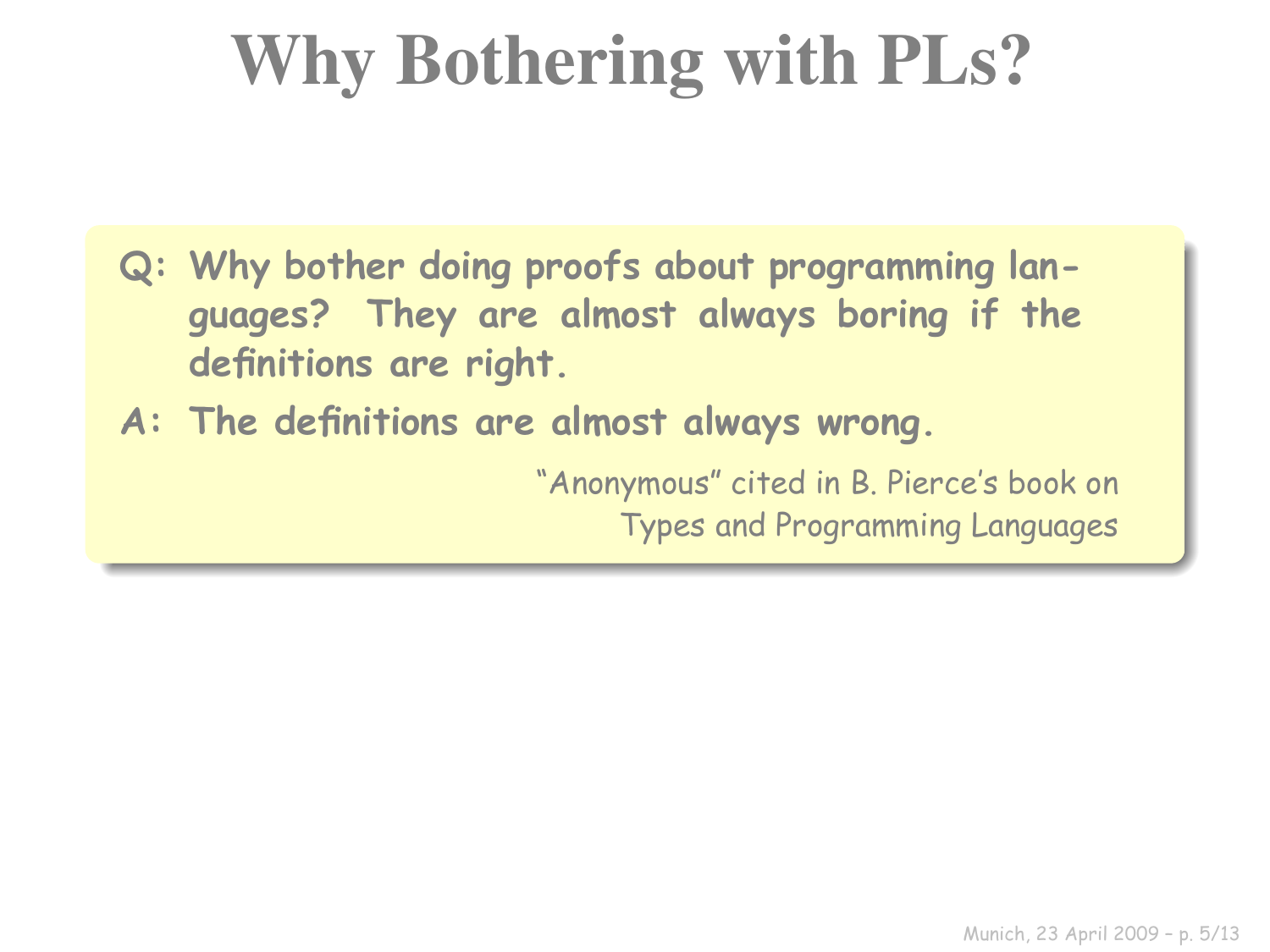## Why Bothering with PLs?

- **Q: Why bother doing proofs about programming languages? They are almost always boring if the definitions are right.**
- **A: The definitions are almost always wrong.**

"Anonymous" cited in B. Pierce's book on Types and Programming Languages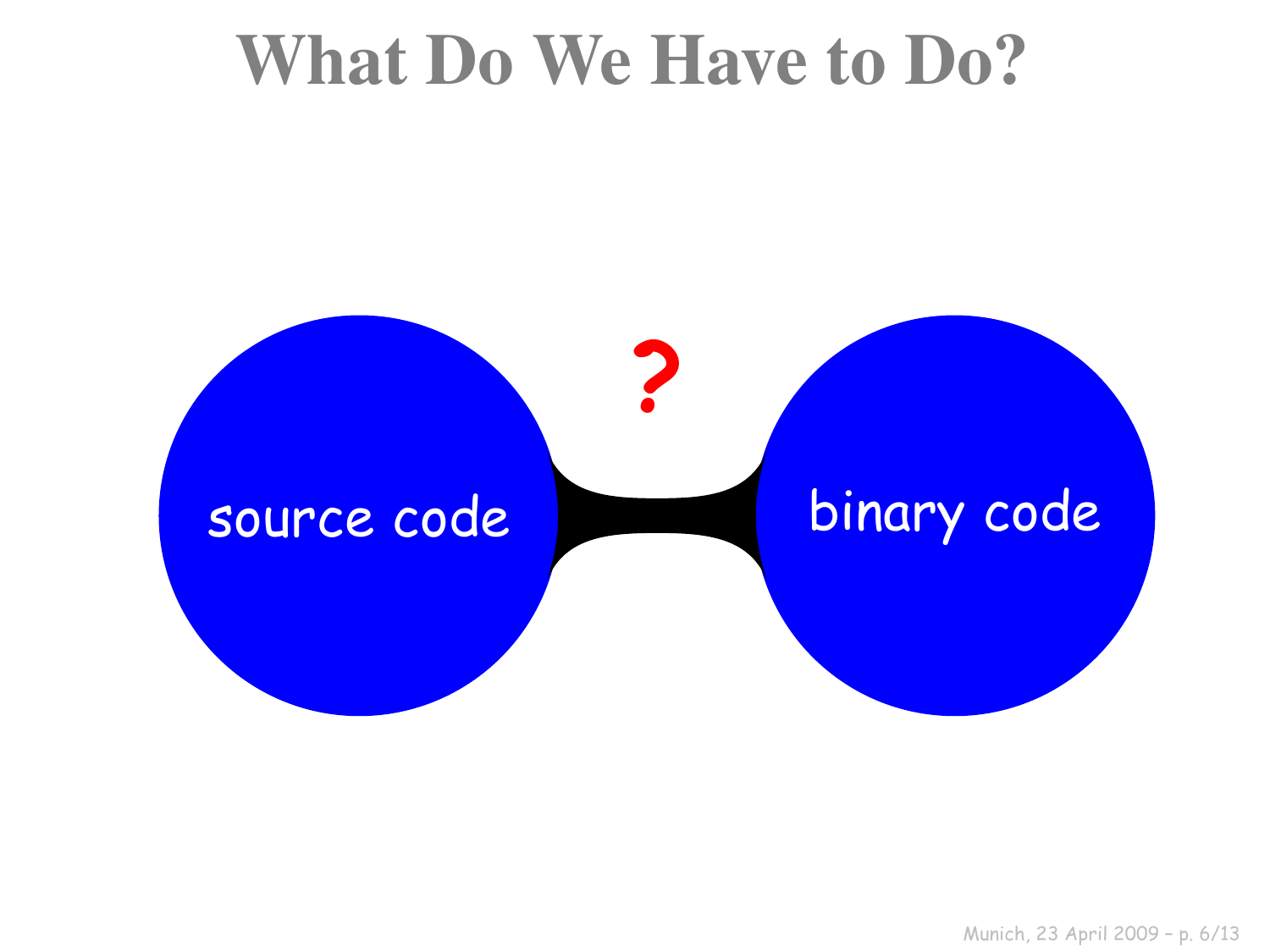#### What Do We Have to Do?

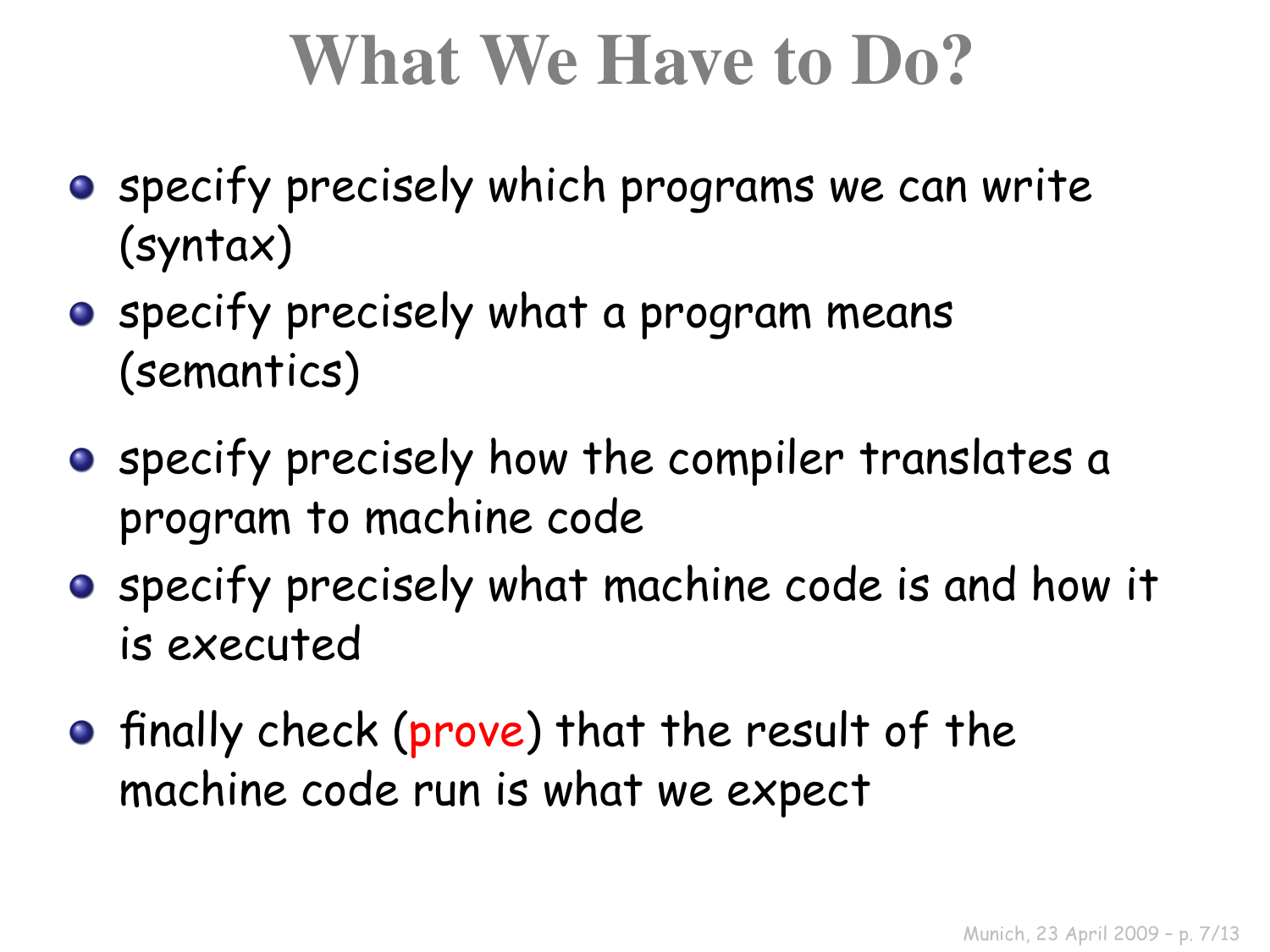### What We Have to Do?

- **•** specify precisely which programs we can write (syntax)
- **•** specify precisely what a program means (semantics)
- **•** specify precisely how the compiler translates a program to machine code
- **•** specify precisely what machine code is and how it is executed
- **•** finally check (prove) that the result of the machine code run is what we expect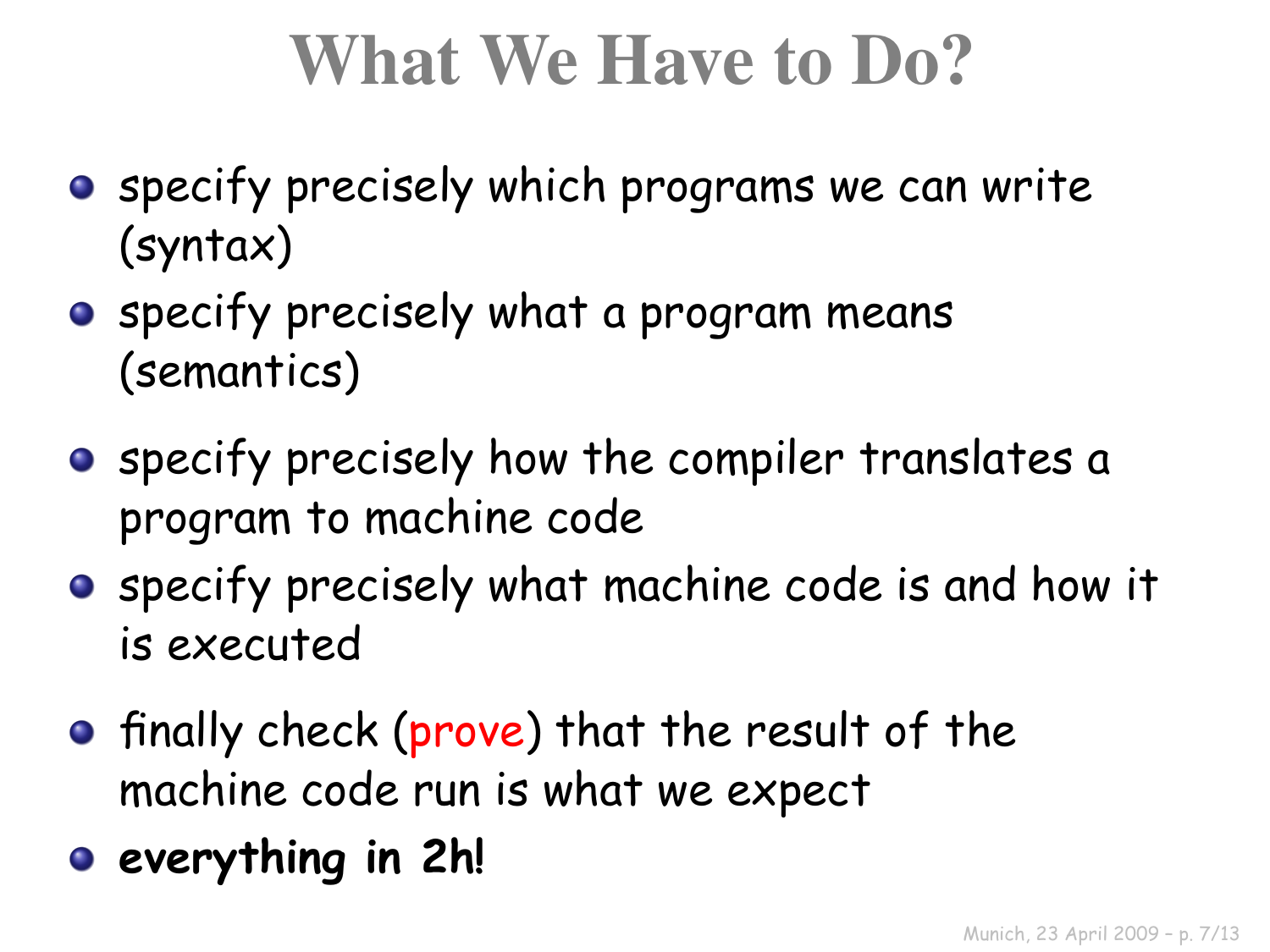## What We Have to Do?

- **•** specify precisely which programs we can write (syntax)
- **•** specify precisely what a program means (semantics)
- **•** specify precisely how the compiler translates a program to machine code
- **•** specify precisely what machine code is and how it is executed
- **•** finally check (prove) that the result of the machine code run is what we expect
- **everything in 2h!**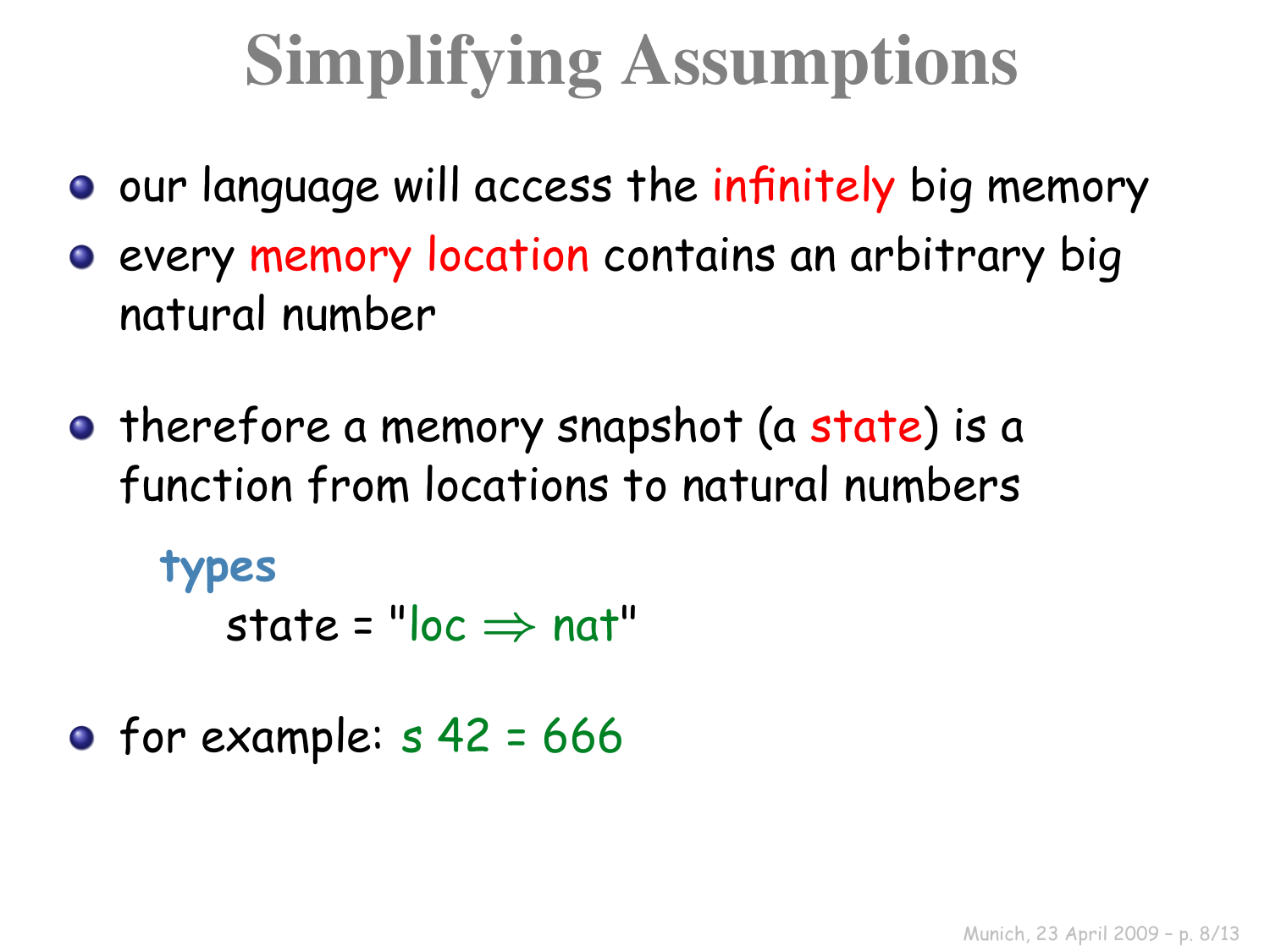## Simplifying Assumptions

- **O** our language will access the infinitely big memory
- **e** every memory location contains an arbitrary big natural number
- **•** therefore a memory snapshot (a state) is a function from locations to natural numbers

**types**

state =  $"loc \Rightarrow nat"$ 

• for example:  $s$  42 = 666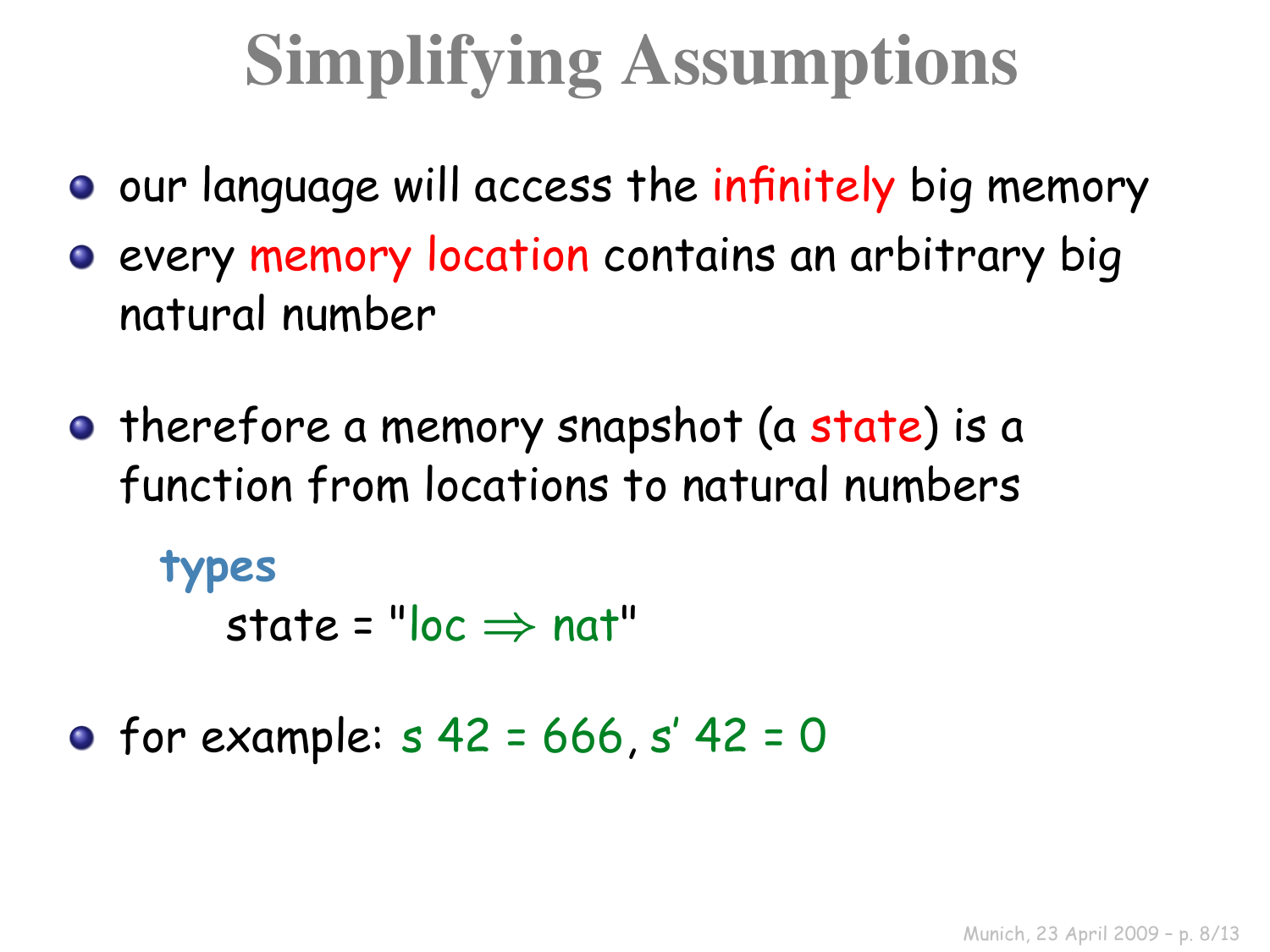## Simplifying Assumptions

- **O** our language will access the infinitely big memory
- **e** every memory location contains an arbitrary big natural number
- **•** therefore a memory snapshot (a state) is a function from locations to natural numbers

**types**

state =  $"loc \Rightarrow nat"$ 

• for example:  $s$  42 = 666,  $s'$  42 = 0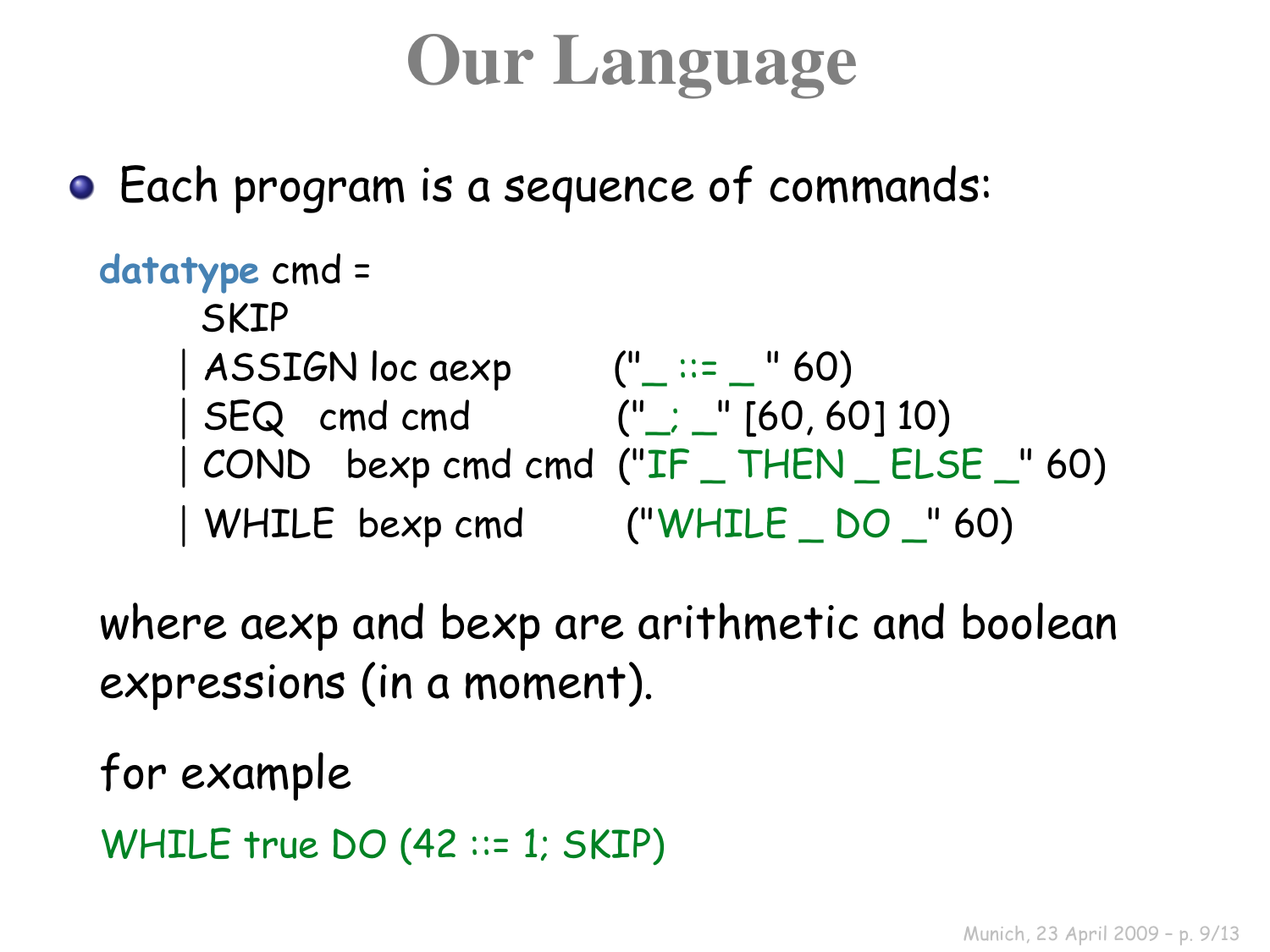## Our Language

Each program is a sequence of commands:

```
datatype cmd =
   SKTP
  | ASSIGN loc aexp (" ::= " 60)
  | SEQ cmd cmd (");  " [60, 60] 10)
  | COND bexp cmd cmd ("IF _ THEN _ ELSE _" 60)
  | WHILE bexp cmd ("WHILE _ DO _" 60)
```
where aexp and bexp are arithmetic and boolean expressions (in a moment).

for example

```
WHILE true DO (42 ::= 1; SKIP)
```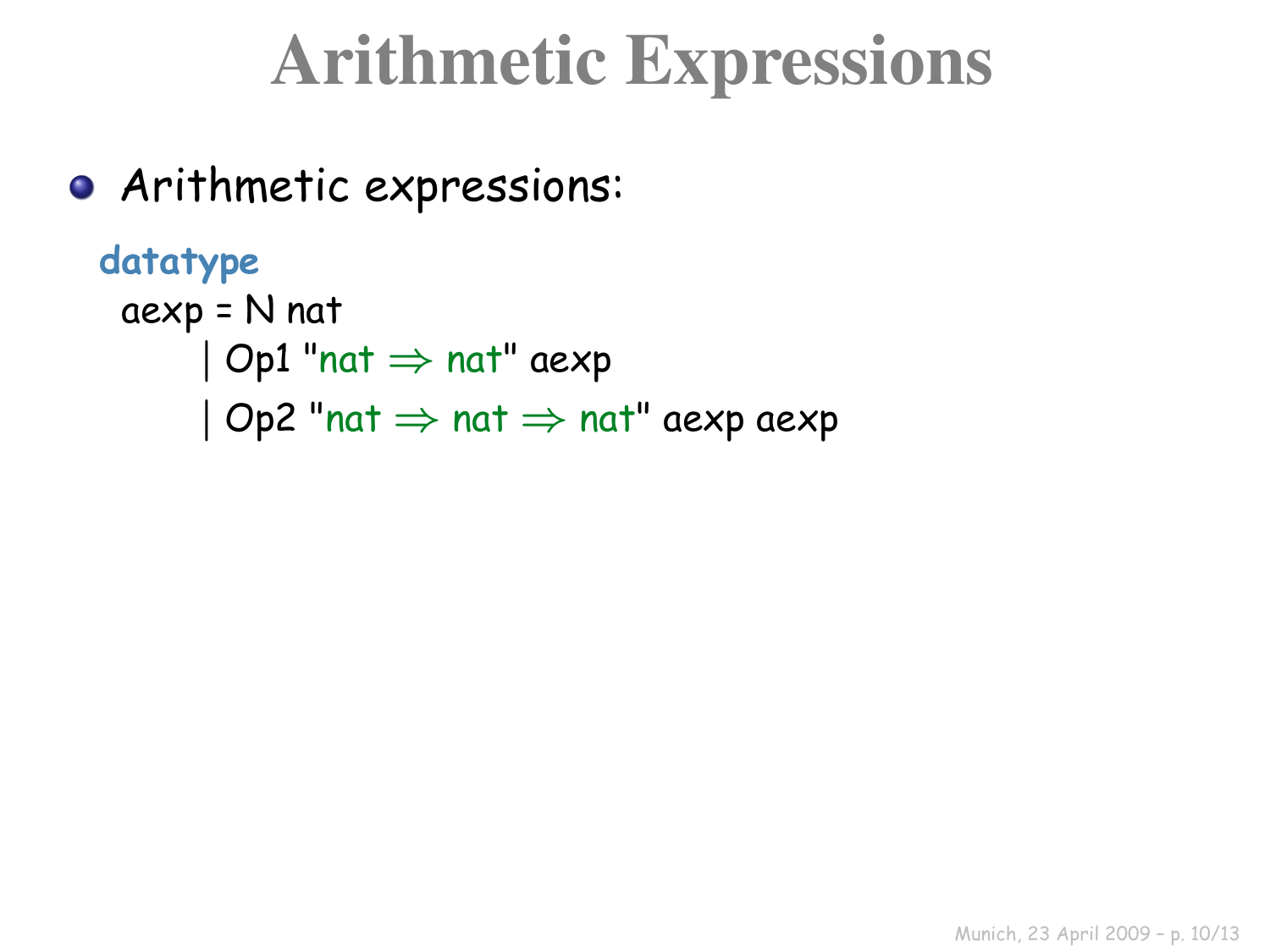### Arithmetic Expressions

Arithmetic expressions:

```
datatype
aexp = N nat
      | Op1 "nat ⇒ nat" aexp
      | Op2 "nat \Rightarrow nat \Rightarrow nat" aexp aexp
```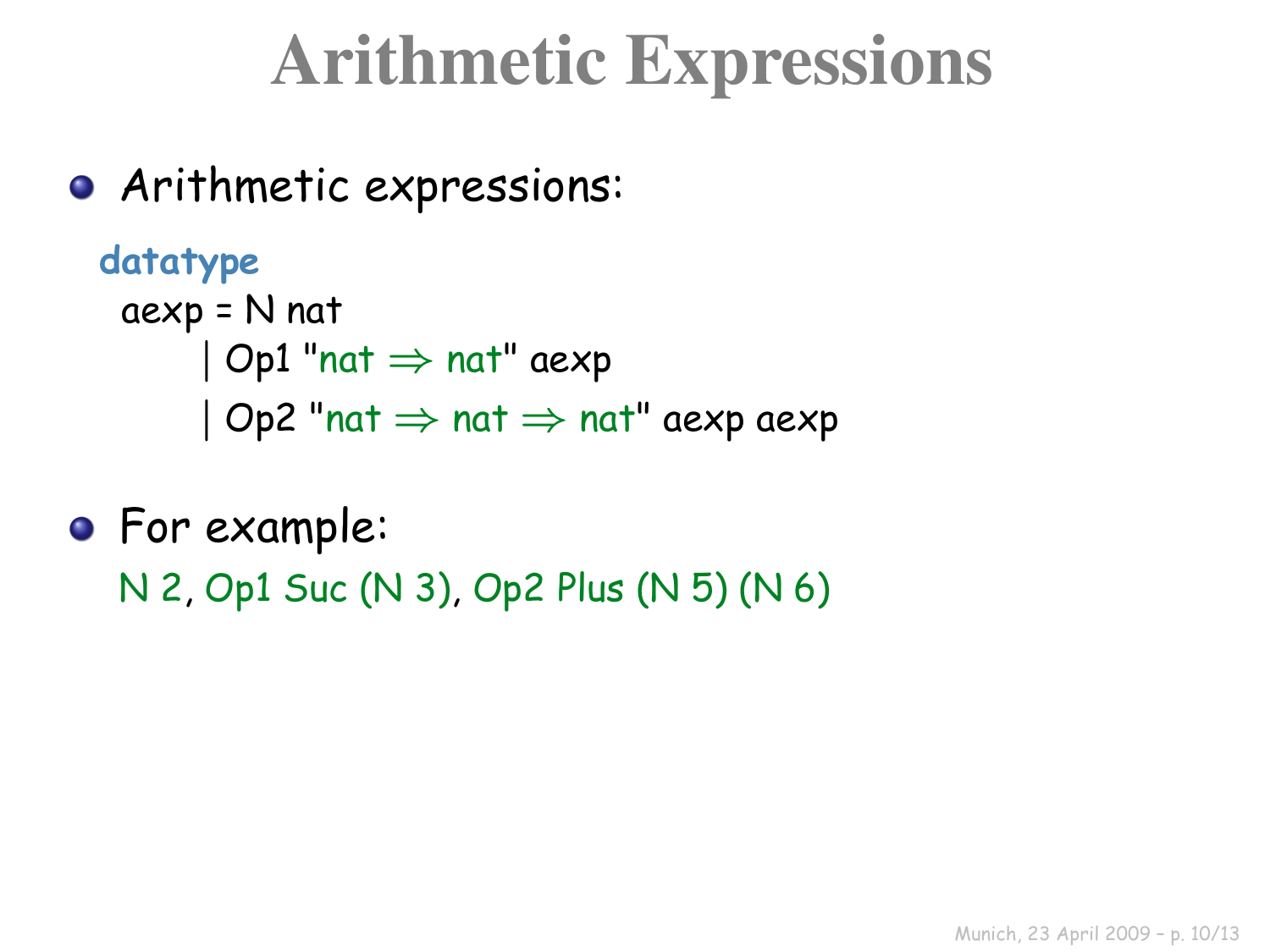### Arithmetic Expressions

Arithmetic expressions:

```
datatype
aexp = N nat
      | Op1 "nat ⇒ nat" aexp
      | Op2 "nat \Rightarrow nat \Rightarrow nat" aexp aexp
```
**•** For example: N 2, Op1 Suc (N 3), Op2 Plus (N 5) (N 6)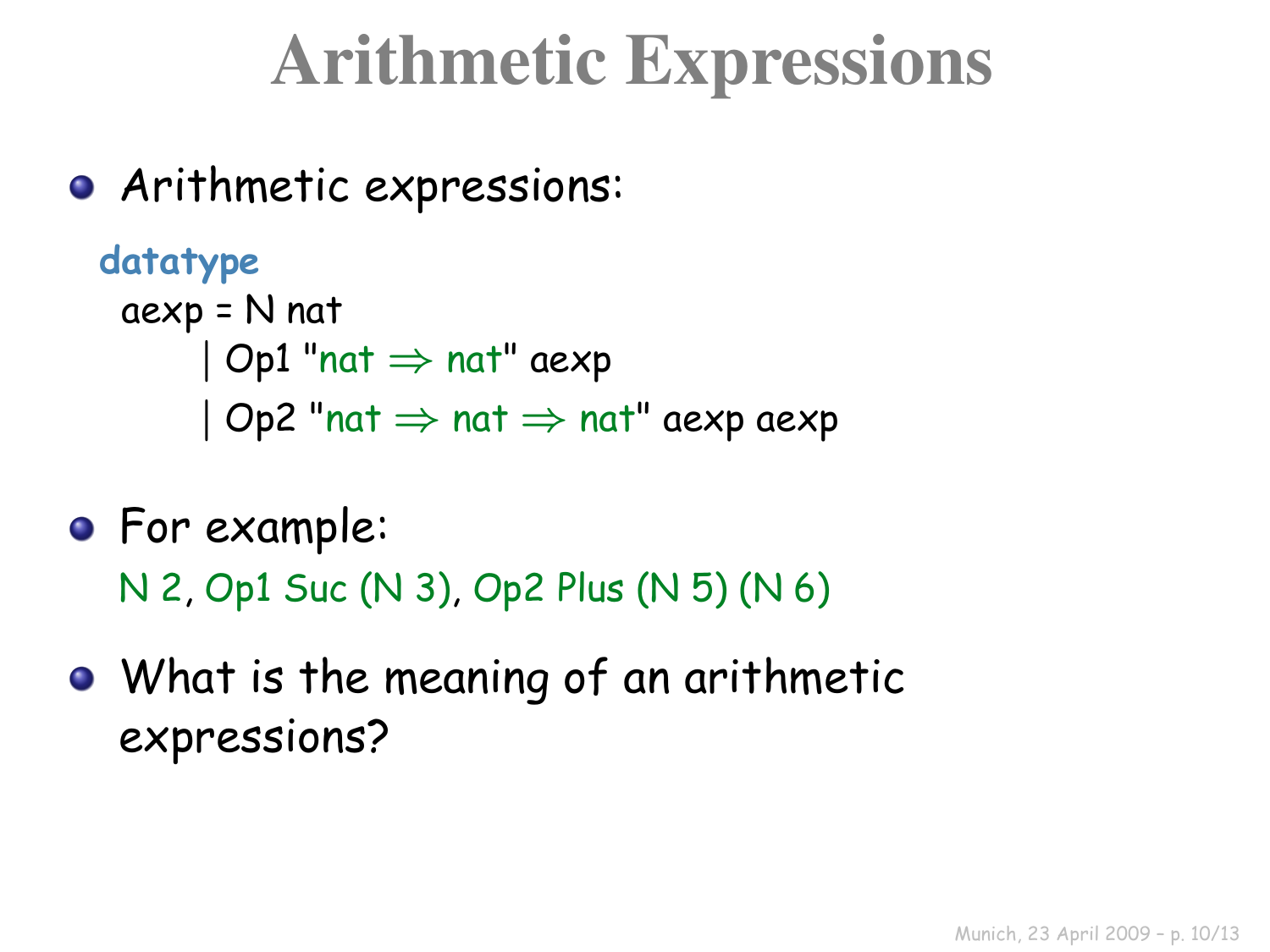### Arithmetic Expressions

Arithmetic expressions:

```
datatype
aexp = N nat
      | Op1 "nat ⇒ nat" aexp
      | Op2 "nat \Rightarrow nat \Rightarrow nat" aexp aexp
```
- **•** For example: N 2, Op1 Suc (N 3), Op2 Plus (N 5) (N 6)
- What is the meaning of an arithmetic expressions?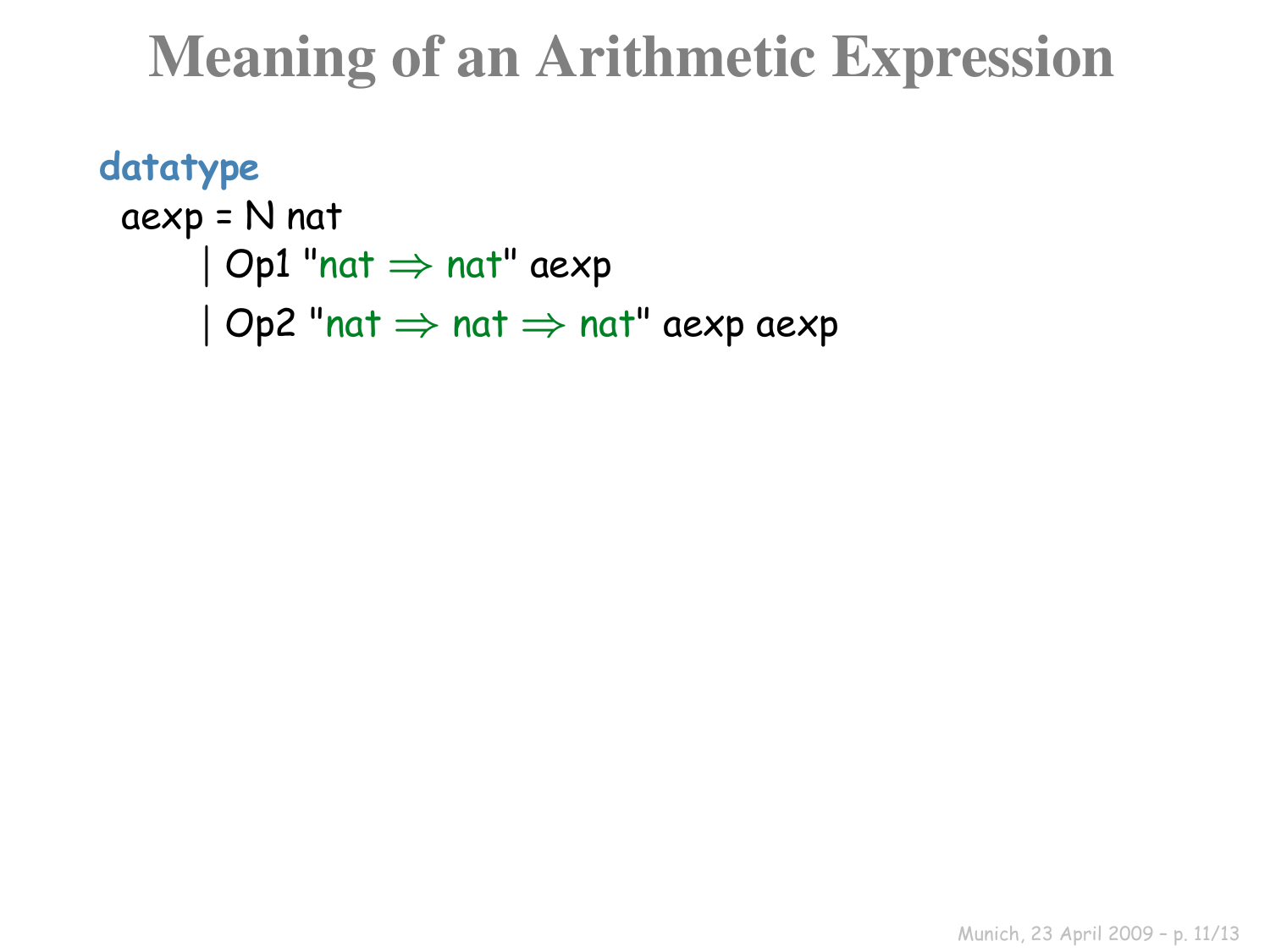#### Meaning of an Arithmetic Expression

```
datatype
aexp = N nat
      | Op1 "nat ⇒ nat" aexp
      | Op2 "nat \Rightarrow nat \Rightarrow nat" aexp aexp
```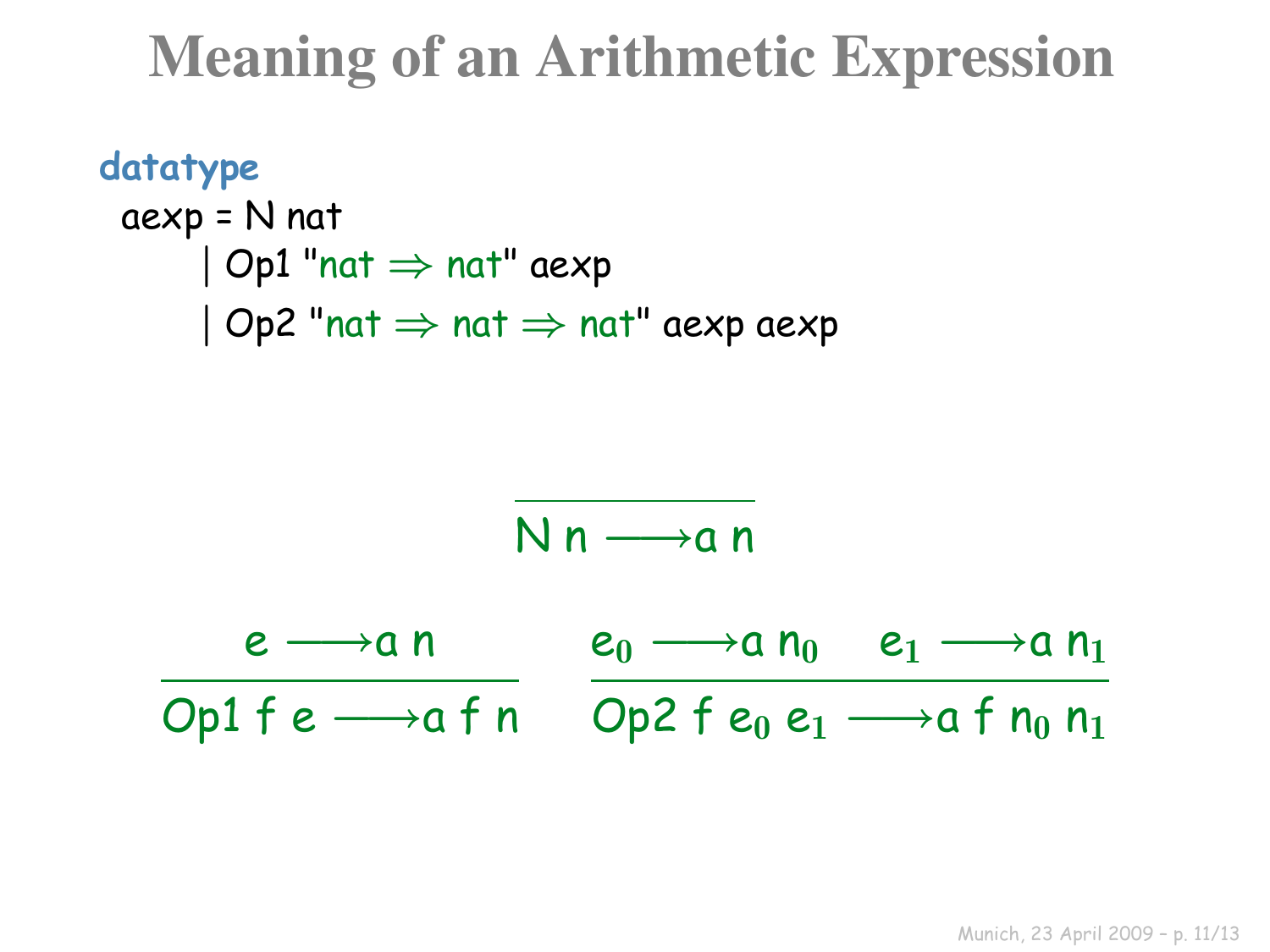#### Meaning of an Arithmetic Expression

```
datatype
aexp = N nat
      \vert Op1 "nat \Rightarrow nat" aexp
      | Op2 "nat \Rightarrow nat \Rightarrow nat" aexp aexp
```

$$
N n \longrightarrow a n
$$

 $e \longrightarrow a n$ Op1 fe  $\longrightarrow$ a f n Op2 fe $_0$  e<sub>1</sub>  $\longrightarrow$ a f n $_0$  n<sub>1</sub>  $e_0 \longrightarrow a n_0$   $e_1 \longrightarrow a n_1$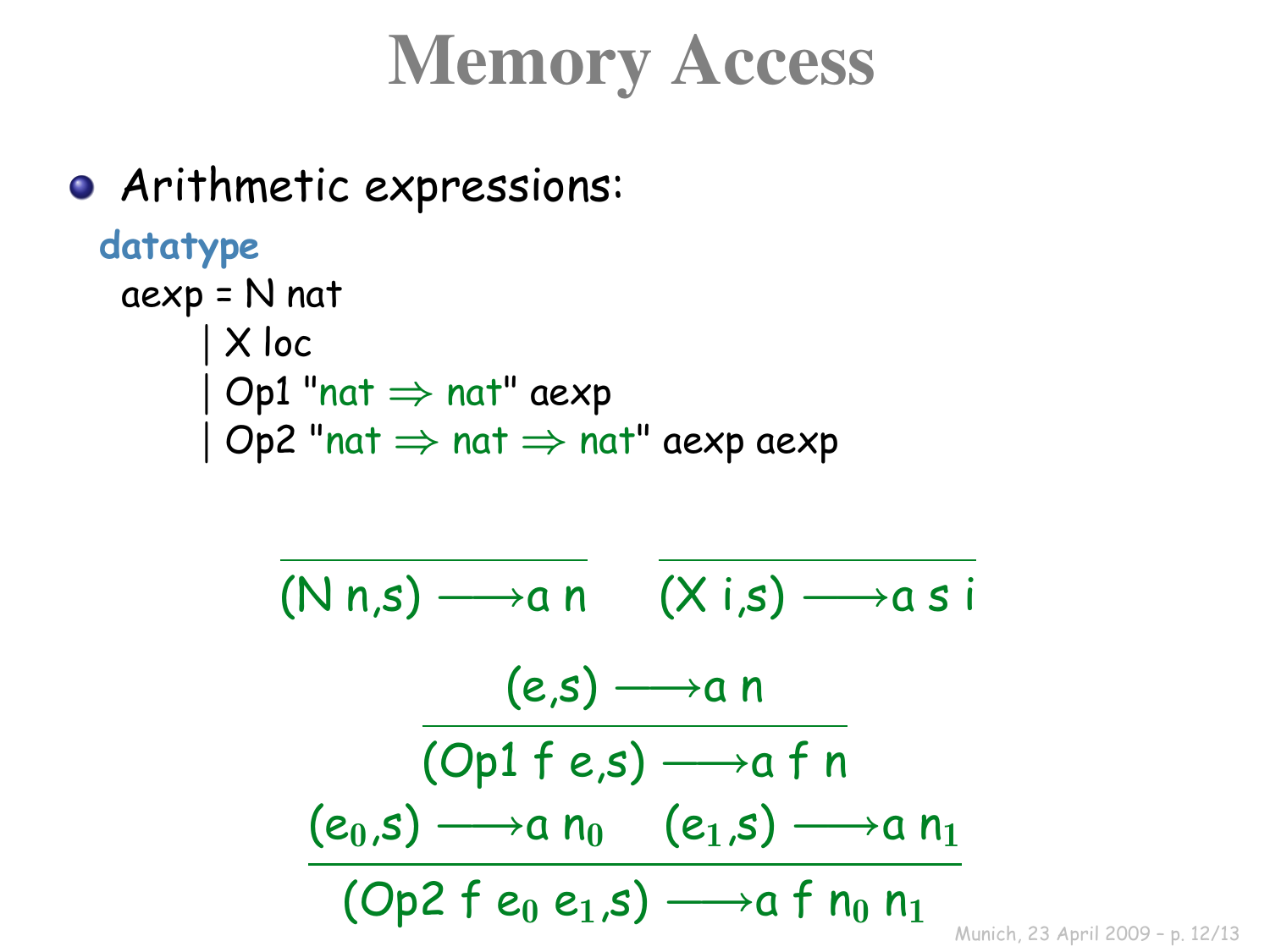## Memory Access

Arithmetic expressions: **datatype** aexp = N nat | X loc  $\vert$  Op1 "nat  $\Rightarrow$  nat" aexp  $|$  Op2 "nat  $\Rightarrow$  nat  $\Rightarrow$  nat" aexp aexp  $(N n.s) \longrightarrow a n$   $(X i.s) \longrightarrow a s i$  $(e,s) \longrightarrow a n$  $(Op1 f e.s) \longrightarrow a f n$  $(e_0, s) \longrightarrow a n_0$   $(e_1, s) \longrightarrow a n_1$ (Op2 f  $e_0 e_1$ ,s)  $\longrightarrow$ a f  $n_0 n_1$ 

Munich, 23 April 2009 – p. 12/13